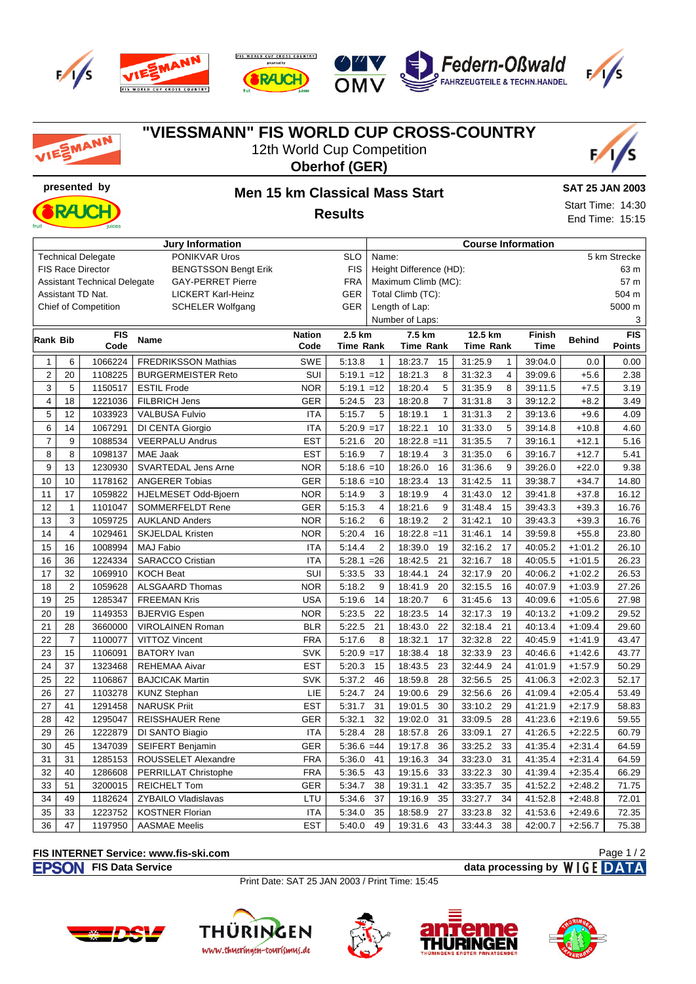









## **"VIESSMANN" FIS WORLD CUP CROSS-COUNTRY** SMANN 12th World Cup Competition **Oberhof (GER) presented by Men 15 km Classical Mass Start SAT 25 JAN 2003** Start Time: 14:30 RA K **Results** End Time: 15:15 **Jury Information Course Information** Technical Delegate **PONIKVAR Uros** SLO Name: 5 km Strecke FIS Race Director BENGTSSON Bengt Erik FIS Height Difference (HD): 63 m Assistant Technical Delegate GAY-PERRET Pierre FRA Maximum Climb (MC): 57 m Assistant TD Nat. LICKERT Karl-Heinz GER Total Climb (TC): 504 m Chief of Competition SCHELER Wolfgang GER Length of Lap: 5000 m Number of Laps: 3 **Rank Bib FIS Code Name Nation 2.5 km 7.5 km 12.5 km Finish Time Behind FIS Code Time Rank Time Rank Time Rank Points** 1 6 1066224 FREDRIKSSON Mathias SWE 5:13.8 1 18:23.7 15 31:25.9 1 39:04.0 0.0 0.00 2 20 1108225 BURGERMEISTER Reto SUI 5:19.1 =12 18:21.3 8 31:32.3 4 39:09.6 +5.6 2.38 3 5 1150517 ESTIL Frode NOR 5:19.1 =12 18:20.4 5 31:35.9 8 39:11.5 +7.5 3.19 4 18 1221036 FILBRICH Jens GER 5:24.5 23 18:20.8 7 31:31.8 3 39:12.2 +8.2 3.49 5 12 1033923 VALBUSA Fulvio ITA 5:15.7 5 18:19.1 1 31:31.3 2 39:13.6 +9.6 4.09 6 14 1067291 DI CENTA Giorgio ITA 5:20.9 =17 18:22.1 10 31:33.0 5 39:14.8 +10.8 4.60 7 9 1088534 VEERPALU Andrus EST 5:21.6 20 18:22.8 =11 31:35.5 7 39:16.1 +12.1 5.16 8 | 8 | 1098137 | MAE Jaak EST | 5:16.9 7 | 18:19.4 3 | 31:35.0 6 | 39:16.7 | +12.7 | 5.41 9 13 1230930 SVARTEDAL Jens Arne NOR 5:18.6 =10 18:26.0 16 31:36.6 9 39:26.0 +22.0 9.38 10 10 1178162 ANGERER Tobias GER 5:18.6 =10 18:23.4 13 31:42.5 11 39:38.7 +34.7 14.80 11 | 17 | 1059822 | HJELMESET Odd-Bjoern NOR | 5:14.9 | 3 | 18:19.9 | 4 | 31:43.0 | 12 | 39:41.8 | +37.8 | 16.12 12 | 1 | 1101047 | SOMMERFELDT Rene GER | 5:15.3 \ 4 | 18:21.6 \ 9 | 31:48.4 \ 15 | 39:43.3 |  $\rightarrow$  39.3 | 16.76 13 3 1059725 AUKLAND Anders NOR 5:16.2 6 18:19.2 2 31:42.1 10 39:43.3 +39.3 16.76 14 | 1029461 | SKJELDAL Kristen NOR | 5:20.4 16 | 18:22.8 = 11 | 31:46.1 14 | 39:59.8 | +55.8 | 23.80 15 16 1008994 MAJ Fabio ITA 5:14.4 2 18:39.0 19 32:16.2 17 40:05.2 +1:01.2 26.10 16 36 1224334 SARACCO Cristian ITA 5:28.1 =26 18:42.5 21 32:16.7 18 40:05.5 +1:01.5 26.23 17 32 1069910 KOCH Beat SUI 5:33.5 33 18:44.1 24 32:17.9 20 40:06.2 +1:02.2 26.53 18 2 1059628 ALSGAARD Thomas NOR 5:18.2 9 18:41.9 20 32:15.5 16 40:07.9 +1:03.9 27.26 19 25 1285347 FREEMAN Kris USA 5:19.6 14 18:20.7 6 31:45.6 13 40:09.6 +1:05.6 27.98 20 19 1149353 BJERVIG Espen NOR 5:23.5 22 18:23.5 14 32:17.3 19 40:13.2 +1:09.2 29.52 21 28 3660000 VIROLAINEN Roman BLR 5:22.5 21 18:43.0 22 32:18.4 21 40:13.4 +1:09.4 29.60 22 7 1100077 VITTOZ Vincent FRA 5:17.6 8 18:32.1 17 32:32.8 22 40:45.9 +1:41.9 43.47 23 15 1106091 BATORY Ivan SVK 5:20.9 =17 18:38.4 18 32:33.9 23 40:46.6 +1:42.6 43.77 24 37 1323468 REHEMAA Aivar EST 5:20.3 15 18:43.5 23 32:44.9 24 41:01.9 +1:57.9 50.29 25 22 1106867 BAJCICAK Martin SVK 5:37.2 46 18:59.8 28 32:56.5 25 41:06.3 +2:02.3 52.17 26 27 1103278 KUNZ Stephan LIE 5:24.7 24 19:00.6 29 32:56.6 26 41:09.4 +2:05.4 53.49 27 41 1291458 NARUSK Priit EST 5:31.7 31 19:01.5 30 33:10.2 29 41:21.9 +2:17.9 58.83 28 42 1295047 REISSHAUER Rene GER 5:32.1 32 19:02.0 31 33:09.5 28 41:23.6 +2:19.6 59.55 29 26 1222879 DI SANTO Biagio ITA 5:28.4 28 18:57.8 26 33:09.1 27 41:26.5 +2:22.5 60.79 30 45 | 1347039 | SEIFERT Benjamin GER | 5:36.6 =44 | 19:17.8 36 | 33:25.2 33 | 41:35.4 | +2:31.4 | 64.59 31 | 31 | 1285153 | ROUSSELET Alexandre FRA | 5:36.0 41 | 19:16.3 34 | 33:23.0 31 | 41:35.4 | +2:31.4 | 64.59 32 40 1286608 PERRILLAT Christophe FRA 5:36.5 43 19:15.6 33 33:22.3 30 41:39.4 +2:35.4 66.29 33 | 51 | 3200015 | REICHELT Tom GER | 5:34.7 38 | 19:31.1 42 | 33:35.7 35 | 41:52.2 | +2:48.2 | 71.75 34 49 1182624 ZYBAILO Vladislavas LTU 5:34.6 37 19:16.9 35 33:27.7 34 41:52.8 +2:48.8 72.01 35 33 1223752 KOSTNER Florian ITA 5:34.0 35 18:58.9 27 33:23.8 32 41:53.6 +2:49.6 72.35 36 47 1197950 AASMAE Meelis EST 5:40.0 49 19:31.6 43 33:44.3 38 42:00.7 + + 2:56.7 75.38

## **FIS INTERNET Service: www.fis-ski.com**

**FISON** FIS Data Service **data processing by** WIGE DATA

Page 1 / 2

Print Date: SAT 25 JAN 2003 / Print Time: 15:45